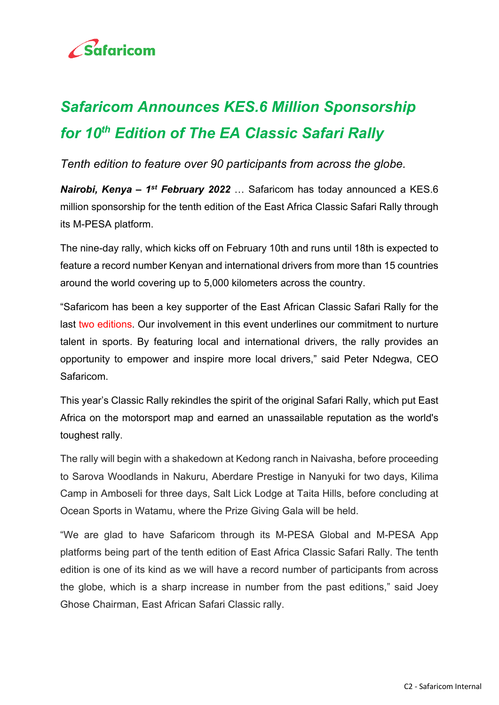

## *Safaricom Announces KES.6 Million Sponsorship for 10th Edition of The EA Classic Safari Rally*

*Tenth edition to feature over 90 participants from across the globe.* 

*Nairobi, Kenya – 1st February 2022* … Safaricom has today announced a KES.6 million sponsorship for the tenth edition of the East Africa Classic Safari Rally through its M-PESA platform.

The nine-day rally, which kicks off on February 10th and runs until 18th is expected to feature a record number Kenyan and international drivers from more than 15 countries around the world covering up to 5,000 kilometers across the country.

"Safaricom has been a key supporter of the East African Classic Safari Rally for the last two editions. Our involvement in this event underlines our commitment to nurture talent in sports. By featuring local and international drivers, the rally provides an opportunity to empower and inspire more local drivers," said Peter Ndegwa, CEO Safaricom.

This year's Classic Rally rekindles the spirit of the original Safari Rally, which put East Africa on the motorsport map and earned an unassailable reputation as the world's toughest rally.

The rally will begin with a shakedown at Kedong ranch in Naivasha, before proceeding to Sarova Woodlands in Nakuru, Aberdare Prestige in Nanyuki for two days, Kilima Camp in Amboseli for three days, Salt Lick Lodge at Taita Hills, before concluding at Ocean Sports in Watamu, where the Prize Giving Gala will be held.

"We are glad to have Safaricom through its M-PESA Global and M-PESA App platforms being part of the tenth edition of East Africa Classic Safari Rally. The tenth edition is one of its kind as we will have a record number of participants from across the globe, which is a sharp increase in number from the past editions," said Joey Ghose Chairman, East African Safari Classic rally.